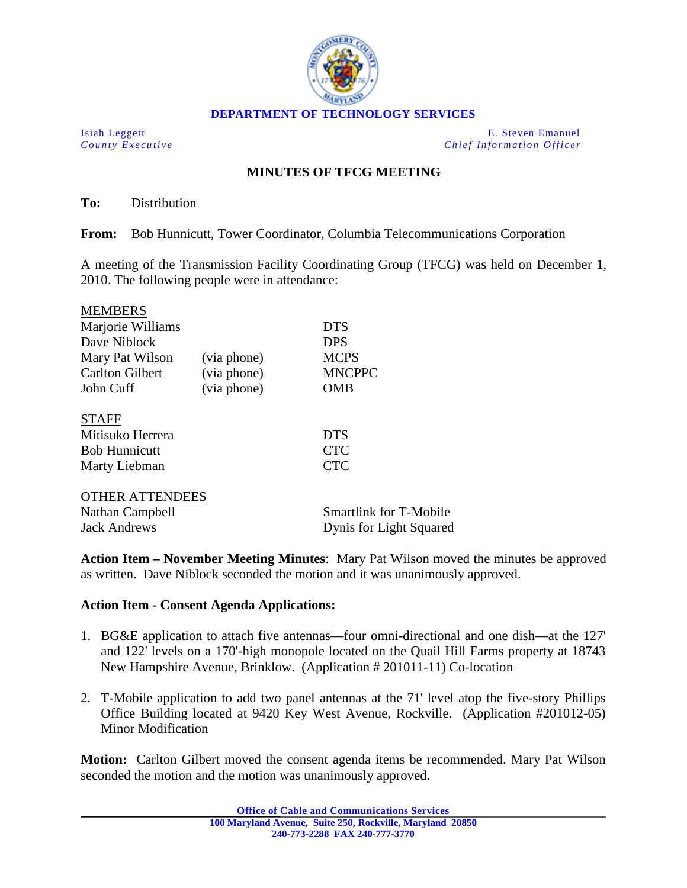

Isiah Leggett E. Steven Emanuel *County Executive Chief Information Officer*

## **MINUTES OF TFCG MEETING**

**To:** Distribution

**From:** Bob Hunnicutt, Tower Coordinator, Columbia Telecommunications Corporation

A meeting of the Transmission Facility Coordinating Group (TFCG) was held on December 1, 2010. The following people were in attendance:

| <b>MEMBERS</b>                    |             |                               |
|-----------------------------------|-------------|-------------------------------|
| Marjorie Williams<br>Dave Niblock |             | <b>DTS</b><br><b>DPS</b>      |
|                                   |             |                               |
| <b>Carlton Gilbert</b>            | (via phone) | <b>MNCPPC</b>                 |
| John Cuff                         | (via phone) | <b>OMB</b>                    |
| <b>STAFF</b>                      |             |                               |
| Mitisuko Herrera                  |             | <b>DTS</b>                    |
| <b>Bob Hunnicutt</b>              |             | <b>CTC</b>                    |
| Marty Liebman                     |             | <b>CTC</b>                    |
| <b>OTHER ATTENDEES</b>            |             |                               |
| Nathan Campbell                   |             | <b>Smartlink for T-Mobile</b> |
| <b>Jack Andrews</b>               |             | Dynis for Light Squared       |

**Action Item – November Meeting Minutes**: Mary Pat Wilson moved the minutes be approved as written. Dave Niblock seconded the motion and it was unanimously approved.

## **Action Item - Consent Agenda Applications:**

- 1. BG&E application to attach five antennas—four omni-directional and one dish—at the 127' and 122' levels on a 170'-high monopole located on the Quail Hill Farms property at 18743 New Hampshire Avenue, Brinklow. (Application # 201011-11) Co-location
- 2. T-Mobile application to add two panel antennas at the 71' level atop the five-story Phillips Office Building located at 9420 Key West Avenue, Rockville. (Application #201012-05) Minor Modification

**Motion:** Carlton Gilbert moved the consent agenda items be recommended. Mary Pat Wilson seconded the motion and the motion was unanimously approved.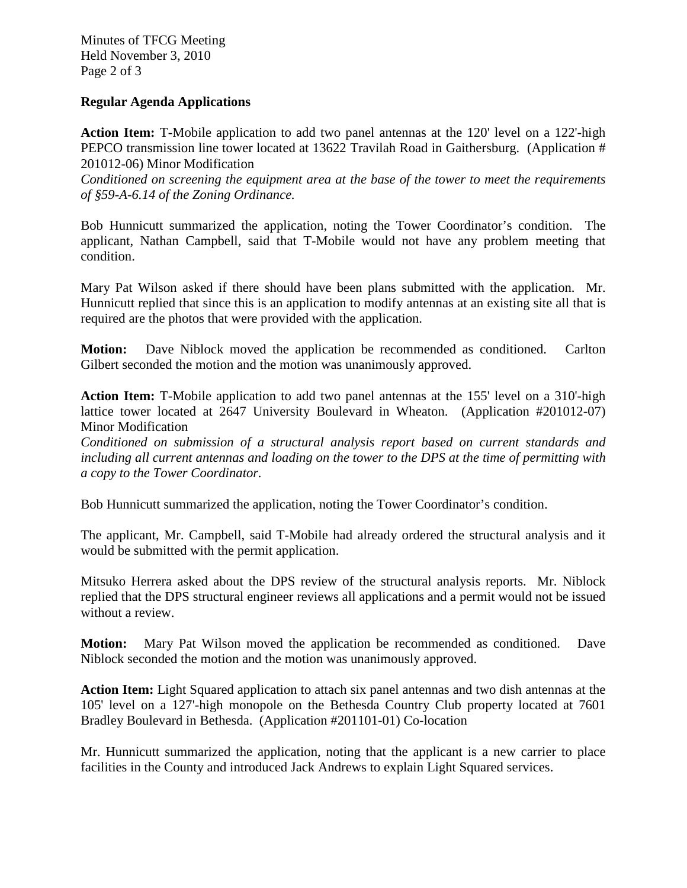Minutes of TFCG Meeting Held November 3, 2010 Page 2 of 3

## **Regular Agenda Applications**

**Action Item:** T-Mobile application to add two panel antennas at the 120' level on a 122'-high PEPCO transmission line tower located at 13622 Travilah Road in Gaithersburg. (Application # 201012-06) Minor Modification

*Conditioned on screening the equipment area at the base of the tower to meet the requirements of §59-A-6.14 of the Zoning Ordinance.*

Bob Hunnicutt summarized the application, noting the Tower Coordinator's condition. The applicant, Nathan Campbell, said that T-Mobile would not have any problem meeting that condition.

Mary Pat Wilson asked if there should have been plans submitted with the application. Mr. Hunnicutt replied that since this is an application to modify antennas at an existing site all that is required are the photos that were provided with the application.

**Motion:** Dave Niblock moved the application be recommended as conditioned. Carlton Gilbert seconded the motion and the motion was unanimously approved.

**Action Item:** T-Mobile application to add two panel antennas at the 155' level on a 310'-high lattice tower located at 2647 University Boulevard in Wheaton. (Application #201012-07) Minor Modification

*Conditioned on submission of a structural analysis report based on current standards and including all current antennas and loading on the tower to the DPS at the time of permitting with a copy to the Tower Coordinator.*

Bob Hunnicutt summarized the application, noting the Tower Coordinator's condition.

The applicant, Mr. Campbell, said T-Mobile had already ordered the structural analysis and it would be submitted with the permit application.

Mitsuko Herrera asked about the DPS review of the structural analysis reports. Mr. Niblock replied that the DPS structural engineer reviews all applications and a permit would not be issued without a review.

**Motion:** Mary Pat Wilson moved the application be recommended as conditioned. Dave Niblock seconded the motion and the motion was unanimously approved.

**Action Item:** Light Squared application to attach six panel antennas and two dish antennas at the 105' level on a 127'-high monopole on the Bethesda Country Club property located at 7601 Bradley Boulevard in Bethesda. (Application #201101-01) Co-location

Mr. Hunnicutt summarized the application, noting that the applicant is a new carrier to place facilities in the County and introduced Jack Andrews to explain Light Squared services.